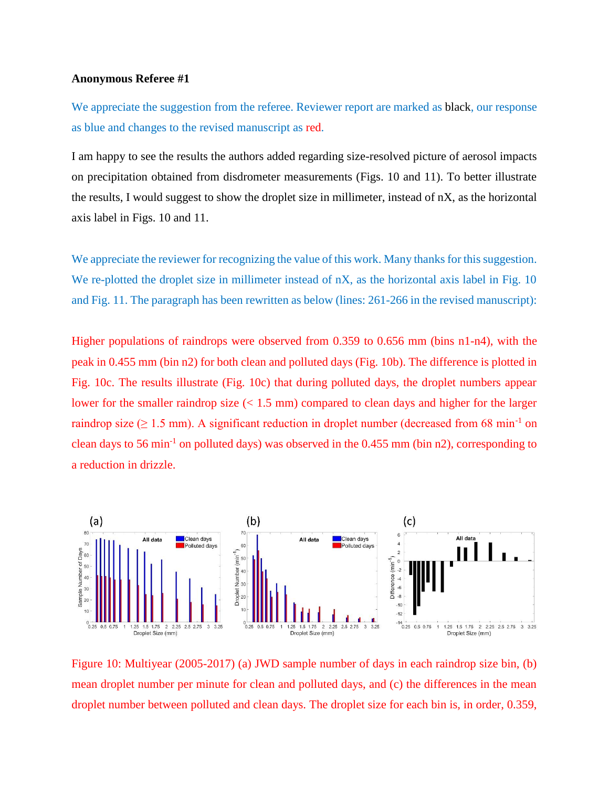## **Anonymous Referee #1**

We appreciate the suggestion from the referee. Reviewer report are marked as black, our response as blue and changes to the revised manuscript as red.

I am happy to see the results the authors added regarding size-resolved picture of aerosol impacts on precipitation obtained from disdrometer measurements (Figs. 10 and 11). To better illustrate the results, I would suggest to show the droplet size in millimeter, instead of nX, as the horizontal axis label in Figs. 10 and 11.

We appreciate the reviewer for recognizing the value of this work. Many thanks for this suggestion. We re-plotted the droplet size in millimeter instead of nX, as the horizontal axis label in Fig. 10 and Fig. 11. The paragraph has been rewritten as below (lines: 261-266 in the revised manuscript):

Higher populations of raindrops were observed from 0.359 to 0.656 mm (bins n1-n4), with the peak in 0.455 mm (bin n2) for both clean and polluted days (Fig. 10b). The difference is plotted in Fig. 10c. The results illustrate (Fig. 10c) that during polluted days, the droplet numbers appear lower for the smaller raindrop size  $(< 1.5$  mm) compared to clean days and higher for the larger raindrop size ( $\geq 1.5$  mm). A significant reduction in droplet number (decreased from 68 min<sup>-1</sup> on clean days to 56 min<sup>-1</sup> on polluted days) was observed in the  $0.455$  mm (bin n2), corresponding to a reduction in drizzle.



Figure 10: Multiyear (2005-2017) (a) JWD sample number of days in each raindrop size bin, (b) mean droplet number per minute for clean and polluted days, and (c) the differences in the mean droplet number between polluted and clean days. The droplet size for each bin is, in order, 0.359,